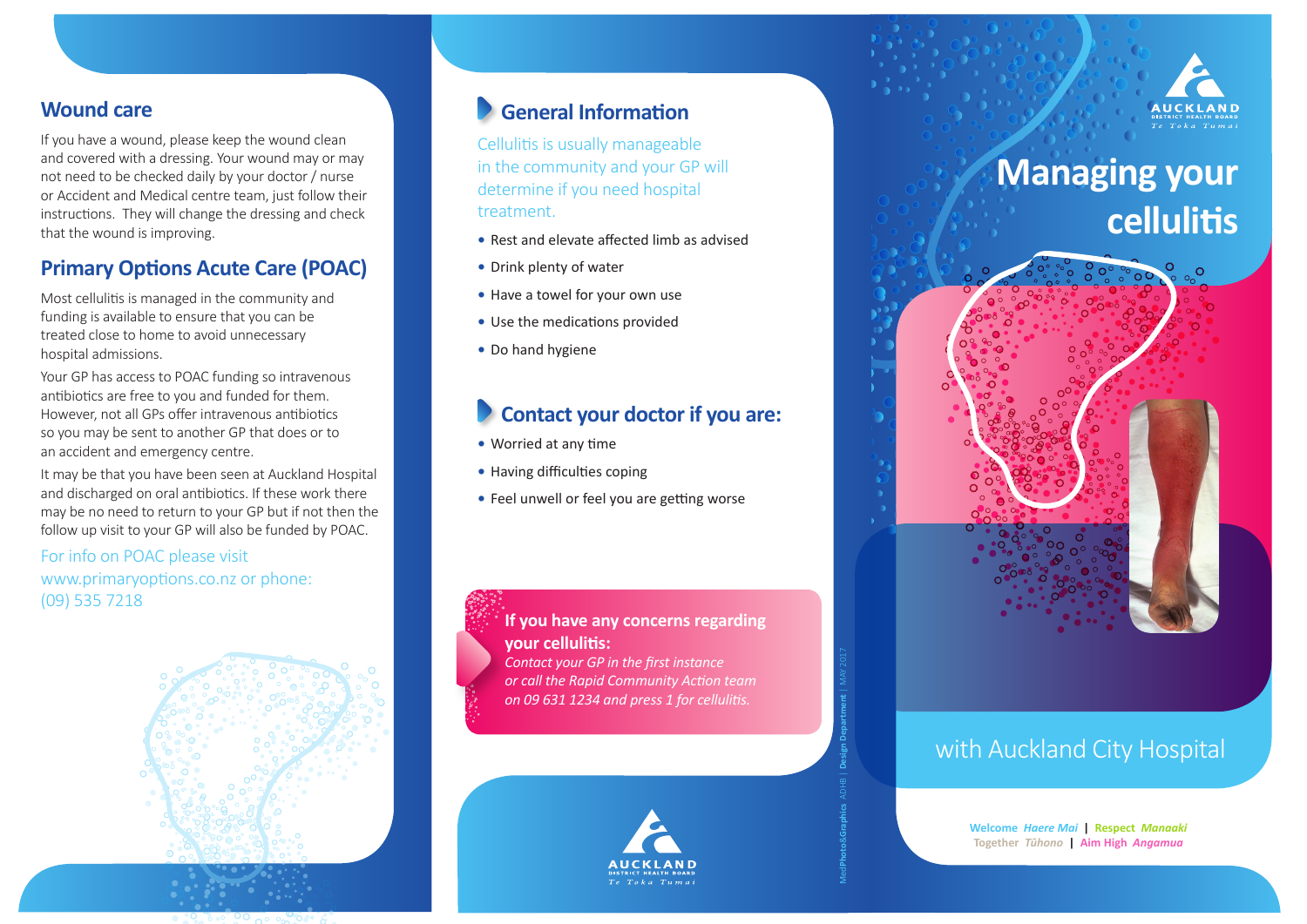

# **Managing your cellulitis**



# with Auckland City Hospital

**Welcome** *Haere Mai* **| Respect** *Manaaki* **Together** *Tūhono* **| Aim High** *Angamua* 

### **Wound care**

If you have a wound, please keep the wound clean and covered with a dressing. Your wound may or may not need to be checked daily by your doctor / nurse or Accident and Medical centre team, just follow their instructions. They will change the dressing and check that the wound is improving.

## **Primary Options Acute Care (POAC)**

Most cellulitis is managed in the community and funding is available to ensure that you can be treated close to home to avoid unnecessary hospital admissions.

Your GP has access to POAC funding so intravenous antibiotics are free to you and funded for them. However, not all GPs offer intravenous antibiotics so you may be sent to another GP that does or to an accident and emergency centre.

It may be that you have been seen at Auckland Hospital and discharged on oral antibiotics. If these work there may be no need to return to your GP but if not then the follow up visit to your GP will also be funded by POAC.

For info on POAC please visit www.primaryoptions.co.nz or phone: (09) 535 7218



# **General Information**

Cellulitis is usually manageable in the community and your GP will determine if you need hospital treatment.

- **•** Rest and elevate affected limb as advised
- **•** Drink plenty of water
- **•** Have a towel for your own use
- **•** Use the medications provided
- **•** Do hand hygiene

# **Contact your doctor if you are:**

- **•** Worried at any time
- **•** Having difficulties coping
- **•** Feel unwell or feel you are getting worse



*Contact your GP in the first instance or call the Rapid Community Action team on 09 631 1234 and press 1 for cellulitis.*



Med**Photo**&**Graphics** ADHB | **Design Department** | MAY 2017